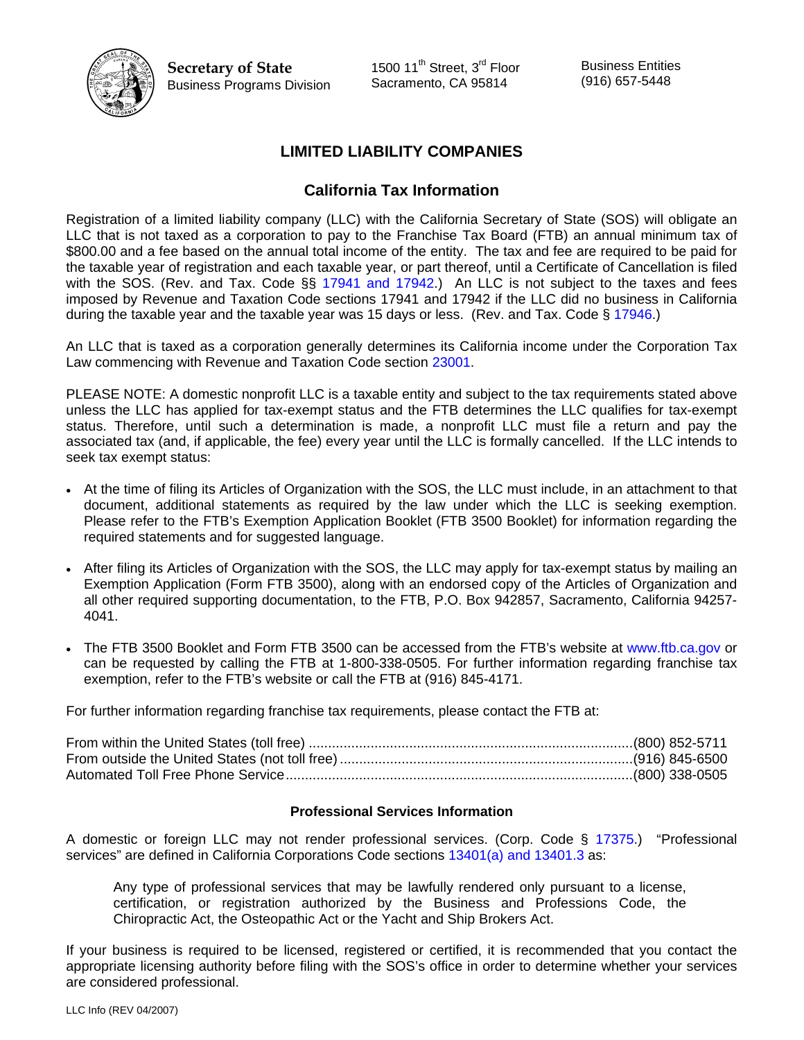

**Secretary of State**  Business Programs Division 1500 11<sup>th</sup> Street, 3<sup>rd</sup> Floor Sacramento, CA 95814

Business Entities (916) 657-5448

# **LIMITED LIABILITY COMPANIES**

### **California Tax Information**

Registration of a limited liability company (LLC) with the California Secretary of State (SOS) will obligate an LLC that is not taxed as a corporation to pay to the Franchise Tax Board (FTB) an annual minimum tax of \$800.00 and a fee based on the annual total income of the entity. The tax and fee are required to be paid for the taxable year of registration and each taxable year, or part thereof, until a Certificate of Cancellation is filed with the SOS. (Rev. and Tax. Code §§ [17941 and 17942.](http://www.leginfo.ca.gov/cgi-bin/displaycode?section=rtc&group=17001-18000&file=17941-17947)) An LLC is not subject to the taxes and fees imposed by Revenue and Taxation Code sections 17941 and 17942 if the LLC did no business in California during the taxable year and the taxable year was 15 days or less. (Rev. and Tax. Code § [17946.](http://www.leginfo.ca.gov/cgi-bin/displaycode?section=rtc&group=17001-18000&file=17941-17947))

An LLC that is taxed as a corporation generally determines its California income under the Corporation Tax Law commencing with Revenue and Taxation Code section [23001.](http://www.leginfo.ca.gov/cgi-bin/calawquery?codesection=rtc&codebody=&hits=All)

PLEASE NOTE: A domestic nonprofit LLC is a taxable entity and subject to the tax requirements stated above unless the LLC has applied for tax-exempt status and the FTB determines the LLC qualifies for tax-exempt status. Therefore, until such a determination is made, a nonprofit LLC must file a return and pay the associated tax (and, if applicable, the fee) every year until the LLC is formally cancelled. If the LLC intends to seek tax exempt status:

- At the time of filing its Articles of Organization with the SOS, the LLC must include, in an attachment to that document, additional statements as required by the law under which the LLC is seeking exemption. Please refer to the FTB's Exemption Application Booklet (FTB 3500 Booklet) for information regarding the required statements and for suggested language.
- After filing its Articles of Organization with the SOS, the LLC may apply for tax-exempt status by mailing an Exemption Application (Form FTB 3500), along with an endorsed copy of the Articles of Organization and all other required supporting documentation, to the FTB, P.O. Box 942857, Sacramento, California 94257- 4041.
- The FTB 3500 Booklet and Form FTB 3500 can be accessed from the FTB's website at [www.ftb.ca.gov](http://www.ftb.ca.gov/) or can be requested by calling the FTB at 1-800-338-0505. For further information regarding franchise tax exemption, refer to the FTB's website or call the FTB at (916) 845-4171.

For further information regarding franchise tax requirements, please contact the FTB at:

### **Professional Services Information**

A domestic or foreign LLC may not render professional services. (Corp. Code § [17375.](http://www.leginfo.ca.gov/cgi-bin/displaycode?section=corp&group=17001-18000&file=17375)) "Professional services" are defined in California Corporations Code sections [13401\(a\) and 13401.3](http://www.leginfo.ca.gov/cgi-bin/displaycode?section=corp&group=13001-14000&file=13400-13410) as:

Any type of professional services that may be lawfully rendered only pursuant to a license, certification, or registration authorized by the Business and Professions Code, the Chiropractic Act, the Osteopathic Act or the Yacht and Ship Brokers Act.

If your business is required to be licensed, registered or certified, it is recommended that you contact the appropriate licensing authority before filing with the SOS's office in order to determine whether your services are considered professional.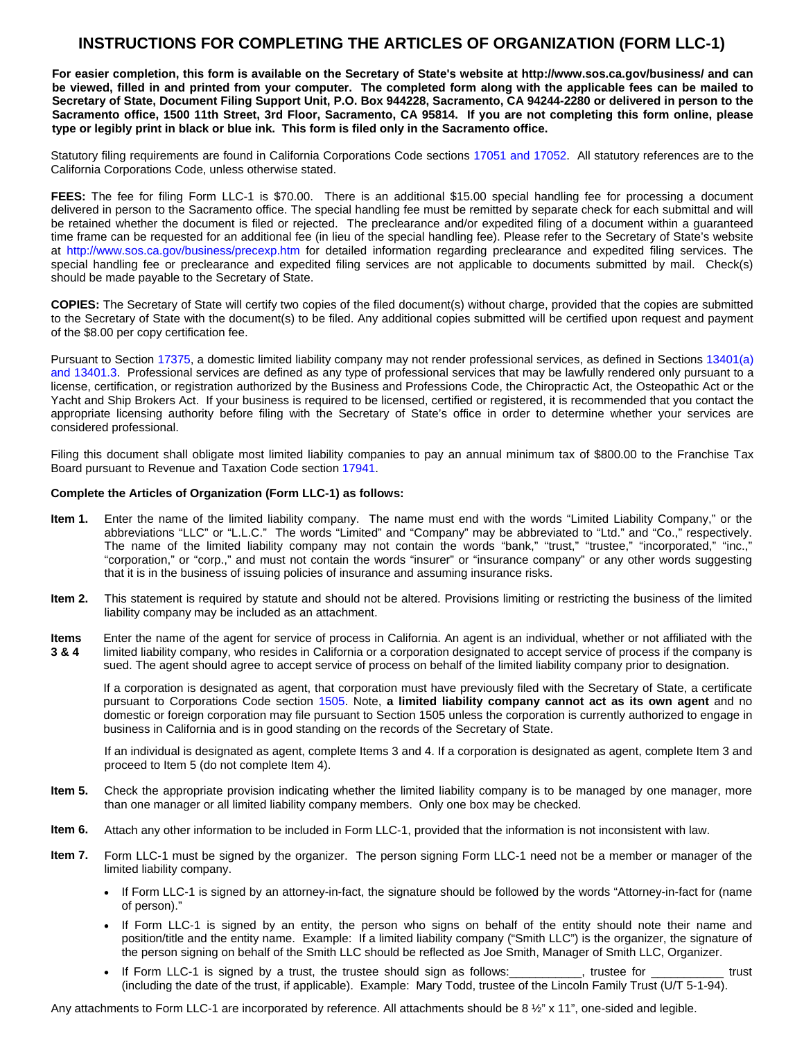## **INSTRUCTIONS FOR COMPLETING THE ARTICLES OF ORGANIZATION (FORM LLC-1)**

**For easier completion, this form is available on the Secretary of State's website at <http://www.sos.ca.gov/business/>and can be viewed, filled in and printed from your computer. The completed form along with the applicable fees can be mailed to Secretary of State, Document Filing Support Unit, P.O. Box 944228, Sacramento, CA 94244-2280 or delivered in person to the Sacramento office, 1500 11th Street, 3rd Floor, Sacramento, CA 95814. If you are not completing this form online, please type or legibly print in black or blue ink. This form is filed only in the Sacramento office.** 

Statutory filing requirements are found in California Corporations Code section[s 17051 and 17052.](http://www.leginfo.ca.gov/cgi-bin/displaycode?section=corp&group=17001-18000&file=17050-17062) All statutory references are to the California Corporations Code, unless otherwise stated.

FEES: The fee for filing Form LLC-1 is \$70.00. There is an additional \$15.00 special handling fee for processing a document delivered in person to the Sacramento office. The special handling fee must be remitted by separate check for each submittal and will be retained whether the document is filed or rejected. The preclearance and/or expedited filing of a document within a guaranteed time frame can be requested for an additional fee (in lieu of the special handling fee). Please refer to the Secretary of State's website at http://www.sos.ca.gov/business/precexp.htm for detailed information regarding preclearance and expedited filing services. The special handling fee or preclearance and expedited filing services are not applicable to documents submitted by mail. Check(s) should be made payable to the Secretary of State.

**COPIES:** The Secretary of State will certify two copies of the filed document(s) without charge, provided that the copies are submitted to the Secretary of State with the document(s) to be filed. Any additional copies submitted will be certified upon request and payment of the \$8.00 per copy certification fee.

Pursuant to Section [17375,](http://www.leginfo.ca.gov/cgi-bin/displaycode?section=corp&group=17001-18000&file=17375) a domestic limited liability company may not render professional services, as defined in Sections [13401\(a\)](http://www.leginfo.ca.gov/cgi-bin/displaycode?section=corp&group=13001-14000&file=13400-13410)  [and 13401.3.](http://www.leginfo.ca.gov/cgi-bin/displaycode?section=corp&group=13001-14000&file=13400-13410) Professional services are defined as any type of professional services that may be lawfully rendered only pursuant to a license, certification, or registration authorized by the Business and Professions Code, the Chiropractic Act, the Osteopathic Act or the Yacht and Ship Brokers Act. If your business is required to be licensed, certified or registered, it is recommended that you contact the appropriate licensing authority before filing with the Secretary of State's office in order to determine whether your services are considered professional.

Filing this document shall obligate most limited liability companies to pay an annual minimum tax of \$800.00 to the Franchise Tax Board pursuant to Revenue and Taxation Code section [17941.](http://www.leginfo.ca.gov/cgi-bin/displaycode?section=rtc&group=17001-18000&file=17941-17947)

#### **Complete the Articles of Organization (Form LLC-1) as follows:**

- **Item 1.** Enter the name of the limited liability company. The name must end with the words "Limited Liability Company," or the abbreviations "LLC" or "L.L.C." The words "Limited" and "Company" may be abbreviated to "Ltd." and "Co.," respectively. The name of the limited liability company may not contain the words "bank," "trust," "trustee," "incorporated," "inc.,' "corporation," or "corp.," and must not contain the words "insurer" or "insurance company" or any other words suggesting that it is in the business of issuing policies of insurance and assuming insurance risks.
- **Item 2.** This statement is required by statute and should not be altered. Provisions limiting or restricting the business of the limited liability company may be included as an attachment.
- **Items 3 & 4**  Enter the name of the agent for service of process in California. An agent is an individual, whether or not affiliated with the limited liability company, who resides in California or a corporation designated to accept service of process if the company is sued. The agent should agree to accept service of process on behalf of the limited liability company prior to designation.

If a corporation is designated as agent, that corporation must have previously filed with the Secretary of State, a certificate pursuant to Corporations Code section [1505.](http://www.leginfo.ca.gov/cgi-bin/displaycode?section=corp&group=01001-02000&file=1500-1512) Note, **a limited liability company cannot act as its own agent** and no domestic or foreign corporation may file pursuant to Section 1505 unless the corporation is currently authorized to engage in business in California and is in good standing on the records of the Secretary of State.

If an individual is designated as agent, complete Items 3 and 4. If a corporation is designated as agent, complete Item 3 and proceed to Item 5 (do not complete Item 4).

- **Item 5.** Check the appropriate provision indicating whether the limited liability company is to be managed by one manager, more than one manager or all limited liability company members. Only one box may be checked.
- **Item 6.** Attach any other information to be included in Form LLC-1, provided that the information is not inconsistent with law.
- **Item 7.** Form LLC-1 must be signed by the organizer. The person signing Form LLC-1 need not be a member or manager of the limited liability company.
	- If Form LLC-1 is signed by an attorney-in-fact, the signature should be followed by the words "Attorney-in-fact for (name of person)."
	- If Form LLC-1 is signed by an entity, the person who signs on behalf of the entity should note their name and position/title and the entity name. Example: If a limited liability company ("Smith LLC") is the organizer, the signature of the person signing on behalf of the Smith LLC should be reflected as Joe Smith, Manager of Smith LLC, Organizer.
	- If Form LLC-1 is signed by a trust, the trustee should sign as follows: \_\_\_\_\_\_\_\_\_, trustee for \_\_\_\_\_\_\_\_\_\_\_ trust (including the date of the trust, if applicable). Example: Mary Todd, trustee of the Lincoln Family Trust (U/T 5-1-94).

Any attachments to Form LLC-1 are incorporated by reference. All attachments should be 8 ½" x 11", one-sided and legible.